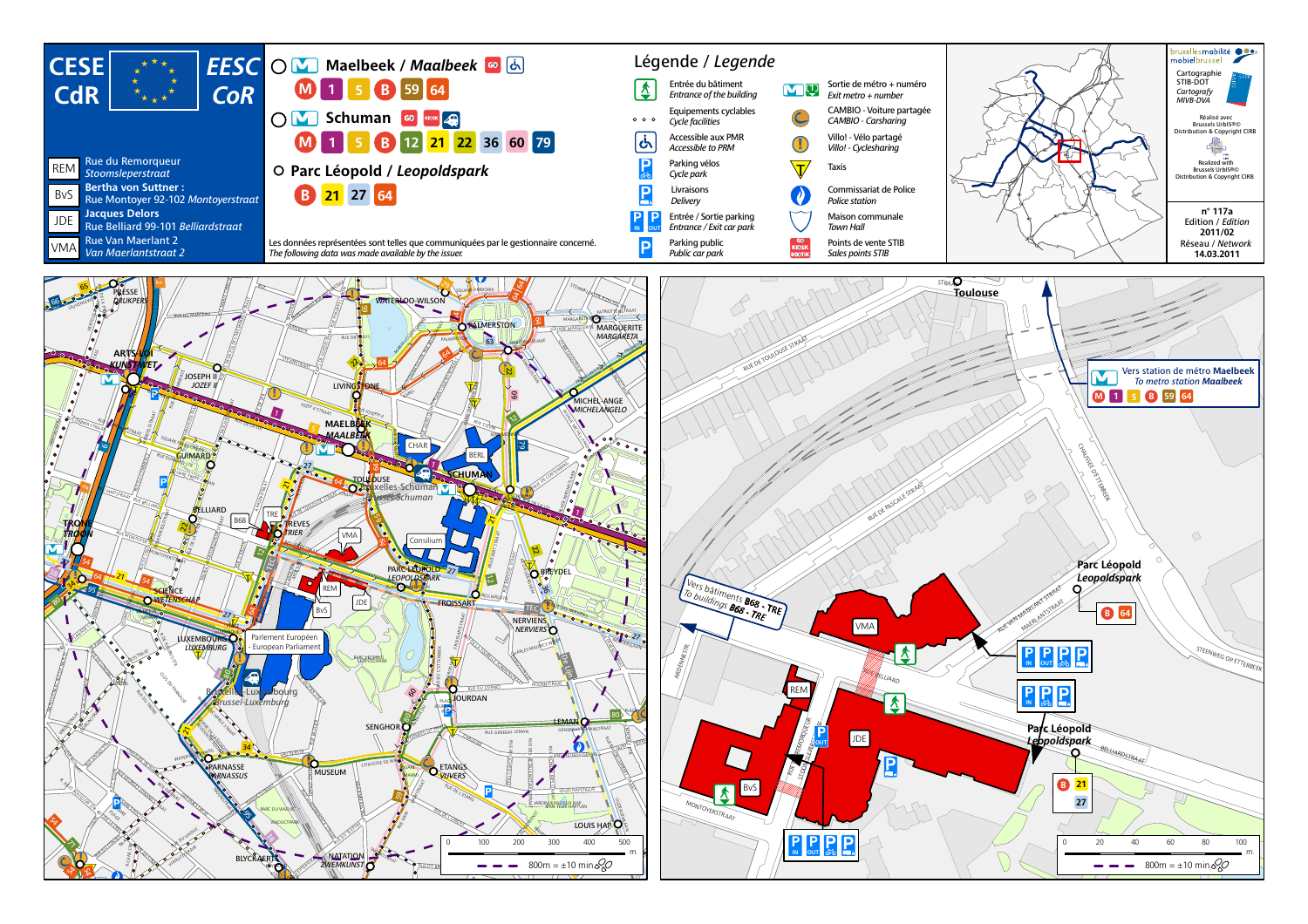